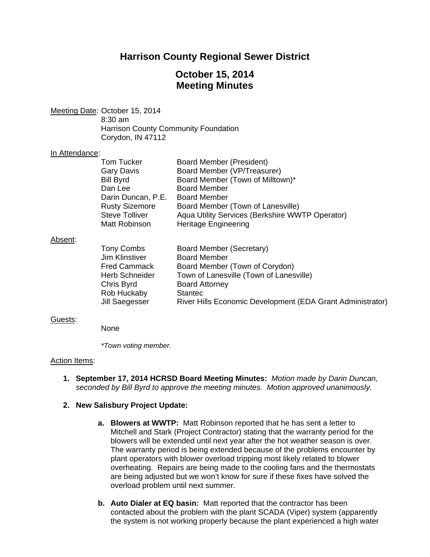# **Harrison County Regional Sewer District**

# **October 15, 2014 Meeting Minutes**

Meeting Date: October 15, 2014 8:30 am Harrison County Community Foundation Corydon, IN 47112

#### In Attendance:

| <b>Tom Tucker</b>     | <b>Board Member (President)</b>                 |
|-----------------------|-------------------------------------------------|
| <b>Gary Davis</b>     | Board Member (VP/Treasurer)                     |
| <b>Bill Byrd</b>      | Board Member (Town of Milltown)*                |
| Dan Lee               | <b>Board Member</b>                             |
| Darin Duncan, P.E.    | <b>Board Member</b>                             |
| <b>Rusty Sizemore</b> | Board Member (Town of Lanesville)               |
| <b>Steve Tolliver</b> | Aqua Utility Services (Berkshire WWTP Operator) |
| Matt Robinson         | <b>Heritage Engineering</b>                     |

#### Absent:

| <b>Tony Combs</b>     | Board Member (Secretary)                                   |
|-----------------------|------------------------------------------------------------|
| Jim Klinstiver        | <b>Board Member</b>                                        |
| <b>Fred Cammack</b>   | Board Member (Town of Corydon)                             |
| <b>Herb Schneider</b> | Town of Lanesville (Town of Lanesville)                    |
| Chris Byrd            | <b>Board Attorney</b>                                      |
| Rob Huckaby           | <b>Stantec</b>                                             |
| Jill Saegesser        | River Hills Economic Development (EDA Grant Administrator) |

#### Guests:

None

 *\*Town voting member.* 

#### Action Items:

**1. September 17, 2014 HCRSD Board Meeting Minutes:** *Motion made by Darin Duncan, seconded by Bill Byrd to approve the meeting minutes. Motion approved unanimously.* 

## **2. New Salisbury Project Update:**

- **a. Blowers at WWTP:** Matt Robinson reported that he has sent a letter to Mitchell and Stark (Project Contractor) stating that the warranty period for the blowers will be extended until next year after the hot weather season is over. The warranty period is being extended because of the problems encounter by plant operators with blower overload tripping most likely related to blower overheating. Repairs are being made to the cooling fans and the thermostats are being adjusted but we won't know for sure if these fixes have solved the overload problem until next summer.
- **b. Auto Dialer at EQ basin:** Matt reported that the contractor has been contacted about the problem with the plant SCADA (Viper) system (apparently the system is not working properly because the plant experienced a high water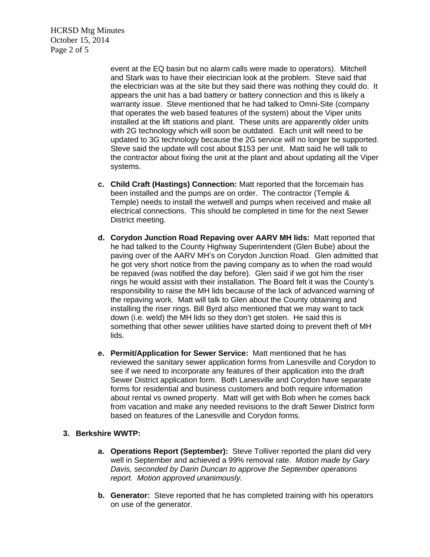HCRSD Mtg Minutes October 15, 2014 Page 2 of 5

> event at the EQ basin but no alarm calls were made to operators). Mitchell and Stark was to have their electrician look at the problem. Steve said that the electrician was at the site but they said there was nothing they could do. It appears the unit has a bad battery or battery connection and this is likely a warranty issue. Steve mentioned that he had talked to Omni-Site (company that operates the web based features of the system) about the Viper units installed at the lift stations and plant. These units are apparently older units with 2G technology which will soon be outdated. Each unit will need to be updated to 3G technology because the 2G service will no longer be supported. Steve said the update will cost about \$153 per unit. Matt said he will talk to the contractor about fixing the unit at the plant and about updating all the Viper systems.

- **c. Child Craft (Hastings) Connection:** Matt reported that the forcemain has been installed and the pumps are on order. The contractor (Temple & Temple) needs to install the wetwell and pumps when received and make all electrical connections. This should be completed in time for the next Sewer District meeting.
- **d. Corydon Junction Road Repaving over AARV MH lids:** Matt reported that he had talked to the County Highway Superintendent (Glen Bube) about the paving over of the AARV MH's on Corydon Junction Road. Glen admitted that he got very short notice from the paving company as to when the road would be repaved (was notified the day before). Glen said if we got him the riser rings he would assist with their installation. The Board felt it was the County's responsibility to raise the MH lids because of the lack of advanced warning of the repaving work. Matt will talk to Glen about the County obtaining and installing the riser rings. Bill Byrd also mentioned that we may want to tack down (i.e. weld) the MH lids so they don't get stolen. He said this is something that other sewer utilities have started doing to prevent theft of MH lids.
- **e. Permit/Application for Sewer Service:** Matt mentioned that he has reviewed the sanitary sewer application forms from Lanesville and Corydon to see if we need to incorporate any features of their application into the draft Sewer District application form. Both Lanesville and Corydon have separate forms for residential and business customers and both require information about rental vs owned property. Matt will get with Bob when he comes back from vacation and make any needed revisions to the draft Sewer District form based on features of the Lanesville and Corydon forms.

# **3. Berkshire WWTP:**

- **a. Operations Report (September):** Steve Tolliver reported the plant did very well in September and achieved a 99% removal rate. *Motion made by Gary Davis, seconded by Darin Duncan to approve the September operations report. Motion approved unanimously.*
- **b. Generator:** Steve reported that he has completed training with his operators on use of the generator.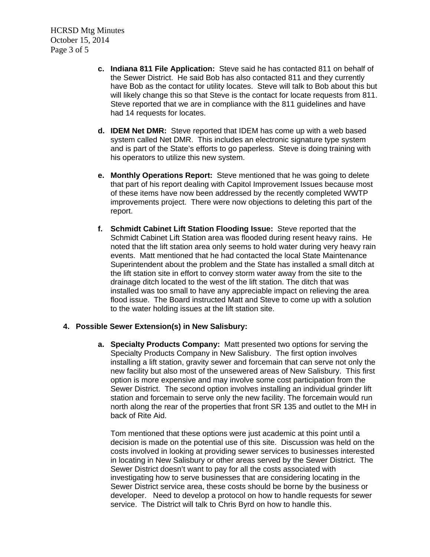HCRSD Mtg Minutes October 15, 2014 Page 3 of 5

- **c. Indiana 811 File Application:** Steve said he has contacted 811 on behalf of the Sewer District. He said Bob has also contacted 811 and they currently have Bob as the contact for utility locates. Steve will talk to Bob about this but will likely change this so that Steve is the contact for locate requests from 811. Steve reported that we are in compliance with the 811 guidelines and have had 14 requests for locates.
- **d. IDEM Net DMR:** Steve reported that IDEM has come up with a web based system called Net DMR. This includes an electronic signature type system and is part of the State's efforts to go paperless. Steve is doing training with his operators to utilize this new system.
- **e. Monthly Operations Report:** Steve mentioned that he was going to delete that part of his report dealing with Capitol Improvement Issues because most of these items have now been addressed by the recently completed WWTP improvements project. There were now objections to deleting this part of the report.
- **f. Schmidt Cabinet Lift Station Flooding Issue:** Steve reported that the Schmidt Cabinet Lift Station area was flooded during resent heavy rains. He noted that the lift station area only seems to hold water during very heavy rain events. Matt mentioned that he had contacted the local State Maintenance Superintendent about the problem and the State has installed a small ditch at the lift station site in effort to convey storm water away from the site to the drainage ditch located to the west of the lift station. The ditch that was installed was too small to have any appreciable impact on relieving the area flood issue. The Board instructed Matt and Steve to come up with a solution to the water holding issues at the lift station site.

# **4. Possible Sewer Extension(s) in New Salisbury:**

**a. Specialty Products Company:** Matt presented two options for serving the Specialty Products Company in New Salisbury. The first option involves installing a lift station, gravity sewer and forcemain that can serve not only the new facility but also most of the unsewered areas of New Salisbury. This first option is more expensive and may involve some cost participation from the Sewer District. The second option involves installing an individual grinder lift station and forcemain to serve only the new facility. The forcemain would run north along the rear of the properties that front SR 135 and outlet to the MH in back of Rite Aid.

Tom mentioned that these options were just academic at this point until a decision is made on the potential use of this site. Discussion was held on the costs involved in looking at providing sewer services to businesses interested in locating in New Salisbury or other areas served by the Sewer District. The Sewer District doesn't want to pay for all the costs associated with investigating how to serve businesses that are considering locating in the Sewer District service area, these costs should be borne by the business or developer. Need to develop a protocol on how to handle requests for sewer service. The District will talk to Chris Byrd on how to handle this.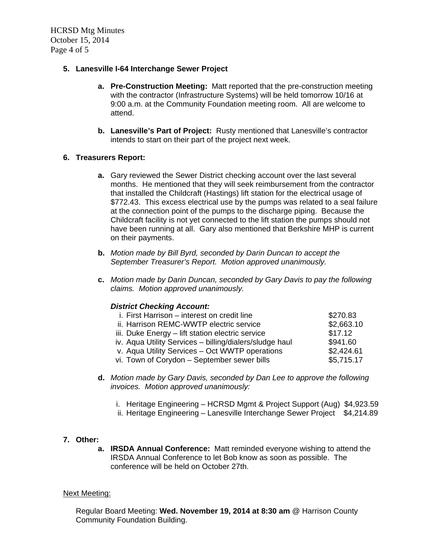HCRSD Mtg Minutes October 15, 2014 Page 4 of 5

# **5. Lanesville I-64 Interchange Sewer Project**

- **a. Pre-Construction Meeting:** Matt reported that the pre-construction meeting with the contractor (Infrastructure Systems) will be held tomorrow 10/16 at 9:00 a.m. at the Community Foundation meeting room. All are welcome to attend.
- **b. Lanesville's Part of Project:** Rusty mentioned that Lanesville's contractor intends to start on their part of the project next week.

# **6. Treasurers Report:**

- **a.** Gary reviewed the Sewer District checking account over the last several months. He mentioned that they will seek reimbursement from the contractor that installed the Childcraft (Hastings) lift station for the electrical usage of \$772.43. This excess electrical use by the pumps was related to a seal failure at the connection point of the pumps to the discharge piping. Because the Childcraft facility is not yet connected to the lift station the pumps should not have been running at all. Gary also mentioned that Berkshire MHP is current on their payments.
- **b.** *Motion made by Bill Byrd, seconded by Darin Duncan to accept the September Treasurer's Report. Motion approved unanimously.*
- **c.** *Motion made by Darin Duncan, seconded by Gary Davis to pay the following claims. Motion approved unanimously.*

## *District Checking Account:*

| i. First Harrison – interest on credit line             | \$270.83   |
|---------------------------------------------------------|------------|
| ii. Harrison REMC-WWTP electric service                 | \$2,663.10 |
| iii. Duke Energy – lift station electric service        | \$17.12    |
| iv. Aqua Utility Services - billing/dialers/sludge haul | \$941.60   |
| v. Aqua Utility Services - Oct WWTP operations          | \$2,424.61 |
| vi. Town of Corydon - September sewer bills             | \$5,715.17 |
|                                                         |            |

- **d.** *Motion made by Gary Davis, seconded by Dan Lee to approve the following invoices. Motion approved unanimously:* 
	- i. Heritage Engineering HCRSD Mgmt & Project Support (Aug) \$4,923.59
	- ii. Heritage Engineering Lanesville Interchange Sewer Project \$4,214.89

# **7. Other:**

**a. IRSDA Annual Conference:** Matt reminded everyone wishing to attend the IRSDA Annual Conference to let Bob know as soon as possible. The conference will be held on October 27th.

## Next Meeting:

Regular Board Meeting: **Wed. November 19, 2014 at 8:30 am** @ Harrison County Community Foundation Building.